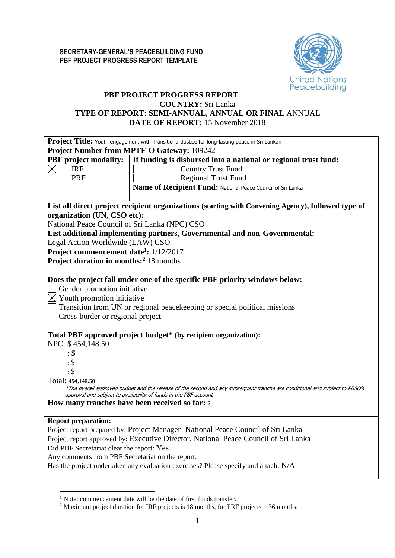

# **PBF PROJECT PROGRESS REPORT COUNTRY:** Sri Lanka **TYPE OF REPORT: SEMI-ANNUAL, ANNUAL OR FINAL** ANNUAL **DATE OF REPORT:** 15 November 2018

| Project Title: Youth engagement with Transitional Justice for long-lasting peace in Sri Lankan                                                                                                                                                                                                                                                                                                                                                                                                                                               |  |  |  |  |  |  |
|----------------------------------------------------------------------------------------------------------------------------------------------------------------------------------------------------------------------------------------------------------------------------------------------------------------------------------------------------------------------------------------------------------------------------------------------------------------------------------------------------------------------------------------------|--|--|--|--|--|--|
| <b>Project Number from MPTF-O Gateway: 109242</b>                                                                                                                                                                                                                                                                                                                                                                                                                                                                                            |  |  |  |  |  |  |
| If funding is disbursed into a national or regional trust fund:                                                                                                                                                                                                                                                                                                                                                                                                                                                                              |  |  |  |  |  |  |
| <b>Country Trust Fund</b>                                                                                                                                                                                                                                                                                                                                                                                                                                                                                                                    |  |  |  |  |  |  |
| <b>Regional Trust Fund</b>                                                                                                                                                                                                                                                                                                                                                                                                                                                                                                                   |  |  |  |  |  |  |
| Name of Recipient Fund: National Peace Council of Sri Lanka                                                                                                                                                                                                                                                                                                                                                                                                                                                                                  |  |  |  |  |  |  |
|                                                                                                                                                                                                                                                                                                                                                                                                                                                                                                                                              |  |  |  |  |  |  |
| List all direct project recipient organizations (starting with Convening Agency), followed type of                                                                                                                                                                                                                                                                                                                                                                                                                                           |  |  |  |  |  |  |
| organization (UN, CSO etc):                                                                                                                                                                                                                                                                                                                                                                                                                                                                                                                  |  |  |  |  |  |  |
| National Peace Council of Sri Lanka (NPC) CSO                                                                                                                                                                                                                                                                                                                                                                                                                                                                                                |  |  |  |  |  |  |
| List additional implementing partners, Governmental and non-Governmental:                                                                                                                                                                                                                                                                                                                                                                                                                                                                    |  |  |  |  |  |  |
| Legal Action Worldwide (LAW) CSO                                                                                                                                                                                                                                                                                                                                                                                                                                                                                                             |  |  |  |  |  |  |
| Project commencement date <sup>1</sup> : 1/12/2017                                                                                                                                                                                                                                                                                                                                                                                                                                                                                           |  |  |  |  |  |  |
| <b>Project duration in months:</b> <sup>2</sup> 18 months                                                                                                                                                                                                                                                                                                                                                                                                                                                                                    |  |  |  |  |  |  |
|                                                                                                                                                                                                                                                                                                                                                                                                                                                                                                                                              |  |  |  |  |  |  |
| Does the project fall under one of the specific PBF priority windows below:<br>Gender promotion initiative<br>$\boxtimes$ Youth promotion initiative<br>Transition from UN or regional peace keeping or special political missions<br>Cross-border or regional project<br>Total PBF approved project budget* (by recipient organization):<br>*The overall approved budget and the release of the second and any subsequent tranche are conditional and subject to PBSO's<br>approval and subject to availability of funds in the PBF account |  |  |  |  |  |  |
| How many tranches have been received so far: 2                                                                                                                                                                                                                                                                                                                                                                                                                                                                                               |  |  |  |  |  |  |
|                                                                                                                                                                                                                                                                                                                                                                                                                                                                                                                                              |  |  |  |  |  |  |
| Project report prepared by: Project Manager -National Peace Council of Sri Lanka<br>Project report approved by: Executive Director, National Peace Council of Sri Lanka<br>Did PBF Secretariat clear the report: Yes<br>Any comments from PBF Secretariat on the report:<br>Has the project undertaken any evaluation exercises? Please specify and attach: N/A                                                                                                                                                                              |  |  |  |  |  |  |
|                                                                                                                                                                                                                                                                                                                                                                                                                                                                                                                                              |  |  |  |  |  |  |

<u>.</u>

<sup>&</sup>lt;sup>1</sup> Note: commencement date will be the date of first funds transfer.

<sup>2</sup> Maximum project duration for IRF projects is 18 months, for PRF projects – 36 months.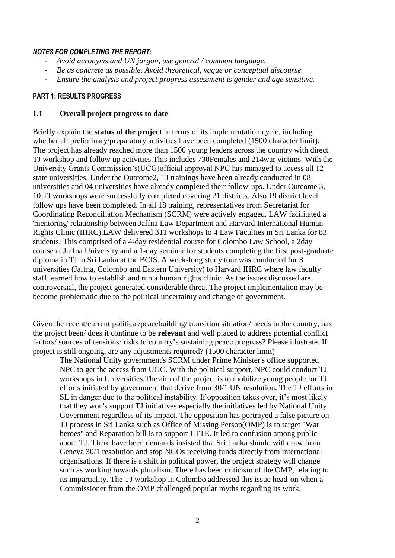#### *NOTES FOR COMPLETING THE REPORT:*

- *Avoid acronyms and UN jargon, use general / common language.*
- *Be as concrete as possible. Avoid theoretical, vague or conceptual discourse.*
- *Ensure the analysis and project progress assessment is gender and age sensitive.*

# **PART 1: RESULTS PROGRESS**

### **1.1 Overall project progress to date**

Briefly explain the **status of the project** in terms of its implementation cycle, including whether all preliminary/preparatory activities have been completed (1500 character limit): The project has already reached more than 1500 young leaders across the country with direct TJ workshop and follow up activities.This includes 730Females and 214war victims. With the University Grants Commission's(UCG)official approval NPC has managed to access all 12 state universities. Under the Outcome2, TJ trainings have been already conducted in 08 universities and 04 universities have already completed their follow-ups. Under Outcome 3, 10 TJ workshops were successfully completed covering 21 districts. Also 19 district level follow ups have been completed. In all 18 training, representatives from Secretariat for Coordinating Reconciliation Mechanism (SCRM) were actively engaged. LAW facilitated a 'mentoring' relationship between Jaffna Law Department and Harvard International Human Rights Clinic (IHRC).LAW delivered 3TJ workshops to 4 Law Faculties in Sri Lanka for 83 students. This comprised of a 4-day residential course for Colombo Law School, a 2day course at Jaffna University and a 1-day seminar for students completing the first post-graduate diploma in TJ in Sri Lanka at the BCIS. A week-long study tour was conducted for 3 universities (Jaffna, Colombo and Eastern University) to Harvard IHRC where law faculty staff learned how to establish and run a human rights clinic. As the issues discussed are controversial, the project generated considerable threat.The project implementation may be become problematic due to the political uncertainty and change of government.

Given the recent/current political/peacebuilding/ transition situation/ needs in the country, has the project been/ does it continue to be **relevant** and well placed to address potential conflict factors/ sources of tensions/ risks to country's sustaining peace progress? Please illustrate. If project is still ongoing, are any adjustments required? (1500 character limit)

The National Unity government's SCRM under Prime Minister's office supported NPC to get the access from UGC. With the political support, NPC could conduct TJ workshops in Universities.The aim of the project is to mobilize young people for TJ efforts initiated by government that derive from 30/1 UN resolution. The TJ efforts in SL in danger due to the political instability. If opposition takes over, it's most likely that they won's support TJ initiatives especially the initiatives led by National Unity Government regardless of its impact. The opposition has portrayed a false picture on TJ process in Sri Lanka such as Office of Missing Person(OMP) is to target "War heroes" and Reparation bill is to support LTTE. It led to confusion among public about TJ. There have been demands insisted that Sri Lanka should withdraw from Geneva 30/1 resolution and stop NGOs receiving funds directly from international organisations. If there is a shift in political power, the project strategy will change such as working towards pluralism. There has been criticism of the OMP, relating to its impartiality. The TJ workshop in Colombo addressed this issue head-on when a Commissioner from the OMP challenged popular myths regarding its work.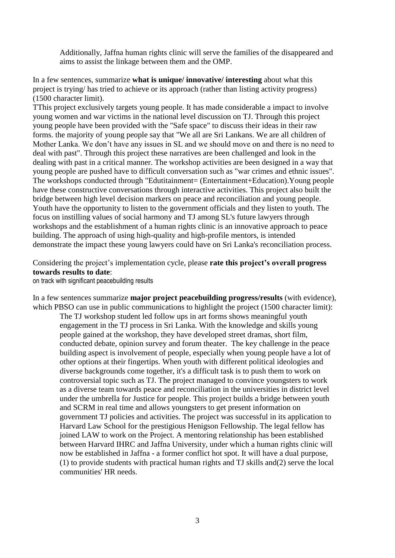Additionally, Jaffna human rights clinic will serve the families of the disappeared and aims to assist the linkage between them and the OMP.

In a few sentences, summarize **what is unique/ innovative/ interesting** about what this project is trying/ has tried to achieve or its approach (rather than listing activity progress) (1500 character limit).

TThis project exclusively targets young people. It has made considerable a impact to involve young women and war victims in the national level discussion on TJ. Through this project young people have been provided with the "Safe space" to discuss their ideas in their raw forms. the majority of young people say that "We all are Sri Lankans. We are all children of Mother Lanka. We don't have any issues in SL and we should move on and there is no need to deal with past". Through this project these narratives are been challenged and look in the dealing with past in a critical manner. The workshop activities are been designed in a way that young people are pushed have to difficult conversation such as "war crimes and ethnic issues". The workshops conducted through "Edutitainment= (Entertainment+Education).Young people have these constructive conversations through interactive activities. This project also built the bridge between high level decision markers on peace and reconciliation and young people. Youth have the opportunity to listen to the government officials and they listen to youth. The focus on instilling values of social harmony and TJ among SL's future lawyers through workshops and the establishment of a human rights clinic is an innovative approach to peace building. The approach of using high-quality and high-profile mentors, is intended demonstrate the impact these young lawyers could have on Sri Lanka's reconciliation process.

# Considering the project's implementation cycle, please **rate this project's overall progress towards results to date**:

on track with significant peacebuilding results

In a few sentences summarize **major project peacebuilding progress/results** (with evidence), which PBSO can use in public communications to highlight the project (1500 character limit):

The TJ workshop student led follow ups in art forms shows meaningful youth engagement in the TJ process in Sri Lanka. With the knowledge and skills young people gained at the workshop, they have developed street dramas, short film, conducted debate, opinion survey and forum theater. The key challenge in the peace building aspect is involvement of people, especially when young people have a lot of other options at their fingertips. When youth with different political ideologies and diverse backgrounds come together, it's a difficult task is to push them to work on controversial topic such as TJ. The project managed to convince youngsters to work as a diverse team towards peace and reconciliation in the universities in district level under the umbrella for Justice for people. This project builds a bridge between youth and SCRM in real time and allows youngsters to get present information on government TJ policies and activities. The project was successful in its application to Harvard Law School for the prestigious Henigson Fellowship. The legal fellow has joined LAW to work on the Project. A mentoring relationship has been established between Harvard IHRC and Jaffna University, under which a human rights clinic will now be established in Jaffna - a former conflict hot spot. It will have a dual purpose, (1) to provide students with practical human rights and TJ skills and(2) serve the local communities' HR needs.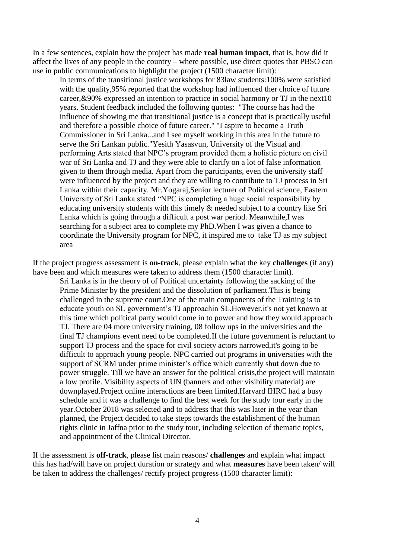In a few sentences, explain how the project has made **real human impact**, that is, how did it affect the lives of any people in the country – where possible, use direct quotes that PBSO can use in public communications to highlight the project (1500 character limit):

In terms of the transitional justice workshops for 83law students:100% were satisfied with the quality, 95% reported that the workshop had influenced ther choice of future career,&90% expressed an intention to practice in social harmony or TJ in the next10 years. Student feedback included the following quotes: "The course has had the influence of showing me that transitional justice is a concept that is practically useful and therefore a possible choice of future career." "I aspire to become a Truth Commissioner in Sri Lanka...and I see myself working in this area in the future to serve the Sri Lankan public."Yesith Yasasvun, University of the Visual and performing Arts stated that NPC's program provided them a holistic picture on civil war of Sri Lanka and TJ and they were able to clarify on a lot of false information given to them through media. Apart from the participants, even the university staff were influenced by the project and they are willing to contribute to TJ process in Sri Lanka within their capacity. Mr.Yogaraj,Senior lecturer of Political science, Eastern University of Sri Lanka stated "NPC is completing a huge social responsibility by educating university students with this timely & needed subject to a country like Sri Lanka which is going through a difficult a post war period. Meanwhile,I was searching for a subject area to complete my PhD.When I was given a chance to coordinate the University program for NPC, it inspired me to take TJ as my subject area

If the project progress assessment is **on-track**, please explain what the key **challenges** (if any) have been and which measures were taken to address them (1500 character limit).

Sri Lanka is in the theory of of Political uncertainty following the sacking of the Prime Minister by the president and the dissolution of parliament.This is being challenged in the supreme court.One of the main components of the Training is to educate youth on SL government's TJ approachin SL.However,it's not yet known at this time which political party would come in to power and how they would approach TJ. There are 04 more university training, 08 follow ups in the universities and the final TJ champions event need to be completed.If the future government is reluctant to support TJ process and the space for civil society actors narrowed,it's going to be difficult to approach young people. NPC carried out programs in universities with the support of SCRM under prime minister's office which currently shut down due to power struggle. Till we have an answer for the political crisis,the project will maintain a low profile. Visibility aspects of UN (banners and other visibility material) are downplayed.Project online interactions are been limited.Harvard IHRC had a busy schedule and it was a challenge to find the best week for the study tour early in the year.October 2018 was selected and to address that this was later in the year than planned, the Project decided to take steps towards the establishment of the human rights clinic in Jaffna prior to the study tour, including selection of thematic topics, and appointment of the Clinical Director.

If the assessment is **off-track**, please list main reasons/ **challenges** and explain what impact this has had/will have on project duration or strategy and what **measures** have been taken/ will be taken to address the challenges/ rectify project progress (1500 character limit):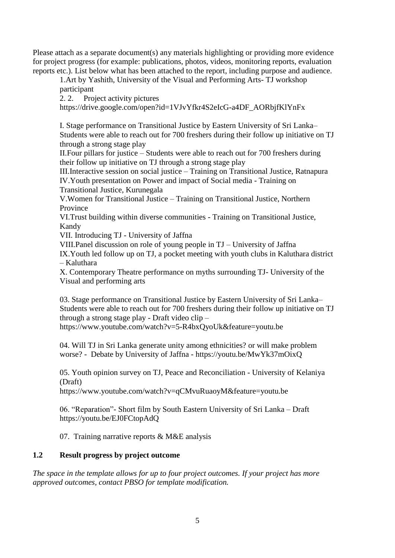Please attach as a separate document(s) any materials highlighting or providing more evidence for project progress (for example: publications, photos, videos, monitoring reports, evaluation reports etc.). List below what has been attached to the report, including purpose and audience.

1.Art by Yashith, University of the Visual and Performing Arts- TJ workshop participant

2. 2. Project activity pictures

https://drive.google.com/open?id=1VJvYfkr4S2eIcG-a4DF\_AORbjfKlYnFx

I. Stage performance on Transitional Justice by Eastern University of Sri Lanka– Students were able to reach out for 700 freshers during their follow up initiative on TJ through a strong stage play

II.Four pillars for justice – Students were able to reach out for 700 freshers during their follow up initiative on TJ through a strong stage play

III.Interactive session on social justice – Training on Transitional Justice, Ratnapura IV.Youth presentation on Power and impact of Social media - Training on Transitional Justice, Kurunegala

V.Women for Transitional Justice – Training on Transitional Justice, Northern Province

VI.Trust building within diverse communities - Training on Transitional Justice, Kandy

VII. Introducing TJ - University of Jaffna

VIII.Panel discussion on role of young people in TJ – University of Jaffna

IX.Youth led follow up on TJ, a pocket meeting with youth clubs in Kaluthara district – Kaluthara

X. Contemporary Theatre performance on myths surrounding TJ- University of the Visual and performing arts

03. Stage performance on Transitional Justice by Eastern University of Sri Lanka– Students were able to reach out for 700 freshers during their follow up initiative on TJ through a strong stage play - Draft video clip –

https://www.youtube.com/watch?v=5-R4bxQyoUk&feature=youtu.be

04. Will TJ in Sri Lanka generate unity among ethnicities? or will make problem worse? - Debate by University of Jaffna - https://youtu.be/MwYk37mOixQ

05. Youth opinion survey on TJ, Peace and Reconciliation - University of Kelaniya (Draft)

https://www.youtube.com/watch?v=qCMvuRuaoyM&feature=youtu.be

06. "Reparation"- Short film by South Eastern University of Sri Lanka – Draft https://youtu.be/EJ0FCtopAdQ

07. Training narrative reports & M&E analysis

# **1.2 Result progress by project outcome**

*The space in the template allows for up to four project outcomes. If your project has more approved outcomes, contact PBSO for template modification.*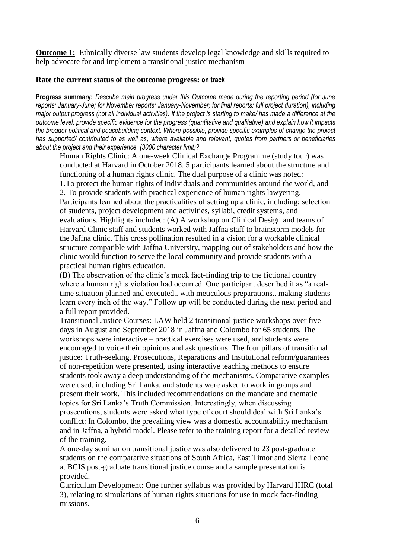**Outcome 1:** Ethnically diverse law students develop legal knowledge and skills required to help advocate for and implement a transitional justice mechanism

## **Rate the current status of the outcome progress: on track**

**Progress summary:** *Describe main progress under this Outcome made during the reporting period (for June reports: January-June; for November reports: January-November; for final reports: full project duration), including major output progress (not all individual activities). If the project is starting to make/ has made a difference at the outcome level, provide specific evidence for the progress (quantitative and qualitative) and explain how it impacts the broader political and peacebuilding context. Where possible, provide specific examples of change the project has supported/ contributed to as well as, where available and relevant, quotes from partners or beneficiaries about the project and their experience. (3000 character limit)?* 

Human Rights Clinic: A one-week Clinical Exchange Programme (study tour) was conducted at Harvard in October 2018. 5 participants learned about the structure and functioning of a human rights clinic. The dual purpose of a clinic was noted:

1.To protect the human rights of individuals and communities around the world, and 2. To provide students with practical experience of human rights lawyering.

Participants learned about the practicalities of setting up a clinic, including: selection of students, project development and activities, syllabi, credit systems, and evaluations. Highlights included: (A) A workshop on Clinical Design and teams of Harvard Clinic staff and students worked with Jaffna staff to brainstorm models for the Jaffna clinic. This cross pollination resulted in a vision for a workable clinical structure compatible with Jaffna University, mapping out of stakeholders and how the clinic would function to serve the local community and provide students with a practical human rights education.

(B) The observation of the clinic's mock fact-finding trip to the fictional country where a human rights violation had occurred. One participant described it as "a realtime situation planned and executed.. with meticulous preparations.. making students learn every inch of the way." Follow up will be conducted during the next period and a full report provided.

Transitional Justice Courses: LAW held 2 transitional justice workshops over five days in August and September 2018 in Jaffna and Colombo for 65 students. The workshops were interactive – practical exercises were used, and students were encouraged to voice their opinions and ask questions. The four pillars of transitional justice: Truth-seeking, Prosecutions, Reparations and Institutional reform/guarantees of non-repetition were presented, using interactive teaching methods to ensure students took away a deep understanding of the mechanisms. Comparative examples were used, including Sri Lanka, and students were asked to work in groups and present their work. This included recommendations on the mandate and thematic topics for Sri Lanka's Truth Commission. Interestingly, when discussing prosecutions, students were asked what type of court should deal with Sri Lanka's conflict: In Colombo, the prevailing view was a domestic accountability mechanism and in Jaffna, a hybrid model. Please refer to the training report for a detailed review of the training.

A one-day seminar on transitional justice was also delivered to 23 post-graduate students on the comparative situations of South Africa, East Timor and Sierra Leone at BCIS post-graduate transitional justice course and a sample presentation is provided.

Curriculum Development: One further syllabus was provided by Harvard IHRC (total 3), relating to simulations of human rights situations for use in mock fact-finding missions.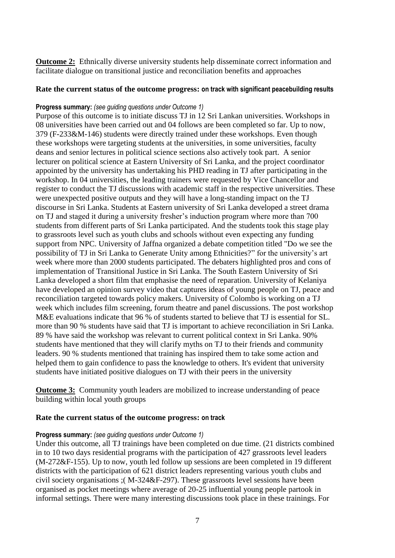**Outcome 2:** Ethnically diverse university students help disseminate correct information and facilitate dialogue on transitional justice and reconciliation benefits and approaches

# **Rate the current status of the outcome progress: on track with significant peacebuilding results**

## **Progress summary:** *(see guiding questions under Outcome 1)*

Purpose of this outcome is to initiate discuss TJ in 12 Sri Lankan universities. Workshops in 08 universities have been carried out and 04 follows are been completed so far. Up to now, 379 (F-233&M-146) students were directly trained under these workshops. Even though these workshops were targeting students at the universities, in some universities, faculty deans and senior lectures in political science sections also actively took part. A senior lecturer on political science at Eastern University of Sri Lanka, and the project coordinator appointed by the university has undertaking his PHD reading in TJ after participating in the workshop. In 04 universities, the leading trainers were requested by Vice Chancellor and register to conduct the TJ discussions with academic staff in the respective universities. These were unexpected positive outputs and they will have a long-standing impact on the TJ discourse in Sri Lanka. Students at Eastern university of Sri Lanka developed a street drama on TJ and staged it during a university fresher's induction program where more than 700 students from different parts of Sri Lanka participated. And the students took this stage play to grassroots level such as youth clubs and schools without even expecting any funding support from NPC. University of Jaffna organized a debate competition titled "Do we see the possibility of TJ in Sri Lanka to Generate Unity among Ethnicities?" for the university's art week where more than 2000 students participated. The debaters highlighted pros and cons of implementation of Transitional Justice in Sri Lanka. The South Eastern University of Sri Lanka developed a short film that emphasise the need of reparation. University of Kelaniya have developed an opinion survey video that captures ideas of young people on TJ, peace and reconciliation targeted towards policy makers. University of Colombo is working on a TJ week which includes film screening, forum theatre and panel discussions. The post workshop M&E evaluations indicate that 96 % of students started to believe that TJ is essential for SL. more than 90 % students have said that TJ is important to achieve reconciliation in Sri Lanka. 89 % have said the workshop was relevant to current political context in Sri Lanka. 90% students have mentioned that they will clarify myths on TJ to their friends and community leaders. 90 % students mentioned that training has inspired them to take some action and helped them to gain confidence to pass the knowledge to others. It's evident that university students have initiated positive dialogues on TJ with their peers in the university

**Outcome 3:** Community youth leaders are mobilized to increase understanding of peace building within local youth groups

#### **Rate the current status of the outcome progress: on track**

#### **Progress summary:** *(see guiding questions under Outcome 1)*

Under this outcome, all TJ trainings have been completed on due time. (21 districts combined in to 10 two days residential programs with the participation of 427 grassroots level leaders (M-272&F-155). Up to now, youth led follow up sessions are been completed in 19 different districts with the participation of 621 district leaders representing various youth clubs and civil society organisations ;( M-324&F-297). These grassroots level sessions have been organised as pocket meetings where average of 20-25 influential young people partook in informal settings. There were many interesting discussions took place in these trainings. For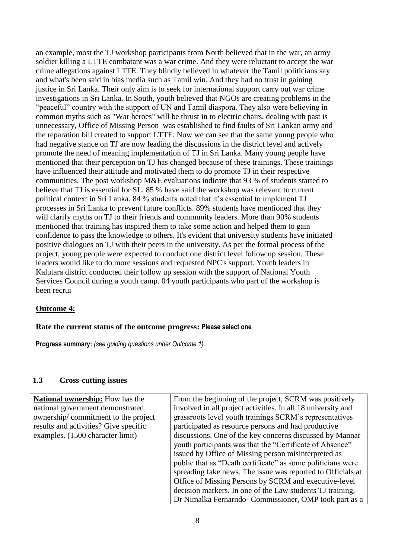an example, most the TJ workshop participants from North believed that in the war, an army soldier killing a LTTE combatant was a war crime. And they were reluctant to accept the war crime allegations against LTTE. They blindly believed in whatever the Tamil politicians say and what's been said in bias media such as Tamil win. And they had no trust in gaining justice in Sri Lanka. Their only aim is to seek for international support carry out war crime investigations in Sri Lanka. In South, youth believed that NGOs are creating problems in the "peaceful" country with the support of UN and Tamil diaspora. They also were believing in common myths such as "War heroes" will be thrust in to electric chairs, dealing with past is unnecessary, Office of Missing Person was established to find faults of Sri Lankan army and the reparation bill created to support LTTE. Now we can see that the same young people who had negative stance on TJ are now leading the discussions in the district level and actively promote the need of meaning implementation of TJ in Sri Lanka. Many young people have mentioned that their perception on TJ has changed because of these trainings. These trainings have influenced their attitude and motivated them to do promote TJ in their respective communities. The post workshop M&E evaluations indicate that 93 % of students started to believe that TJ is essential for SL. 85 % have said the workshop was relevant to current political context in Sri Lanka. 84 % students noted that it's essential to implement TJ processes in Sri Lanka to prevent future conflicts. 89% students have mentioned that they will clarify myths on TJ to their friends and community leaders. More than 90% students mentioned that training has inspired them to take some action and helped them to gain confidence to pass the knowledge to others. It's evident that university students have initiated positive dialogues on TJ with their peers in the university. As per the formal process of the project, young people were expected to conduct one district level follow up session. These leaders would like to do more sessions and requested NPC's support. Youth leaders in Kalutara district conducted their follow up session with the support of National Youth Services Council during a youth camp. 04 youth participants who part of the workshop is been recrui

# **Outcome 4:**

#### **Rate the current status of the outcome progress: Please select one**

**Progress summary:** *(see guiding questions under Outcome 1)* 

### **1.3 Cross-cutting issues**

| <b>National ownership:</b> How has the | From the beginning of the project, SCRM was positively       |
|----------------------------------------|--------------------------------------------------------------|
| national government demonstrated       | involved in all project activities. In all 18 university and |
| ownership/commitment to the project    | grassroots level youth trainings SCRM's representatives      |
| results and activities? Give specific  | participated as resource persons and had productive          |
| examples. (1500 character limit)       | discussions. One of the key concerns discussed by Mannar     |
|                                        | youth participants was that the "Certificate of Absence"     |
|                                        | issued by Office of Missing person misinterpreted as         |
|                                        | public that as "Death certificate" as some politicians were  |
|                                        | spreading fake news. The issue was reported to Officials at  |
|                                        | Office of Missing Persons by SCRM and executive-level        |
|                                        | decision markers. In one of the Law students TJ training,    |
|                                        | Dr Nimalka Fernarndo- Commissioner, OMP took part as a       |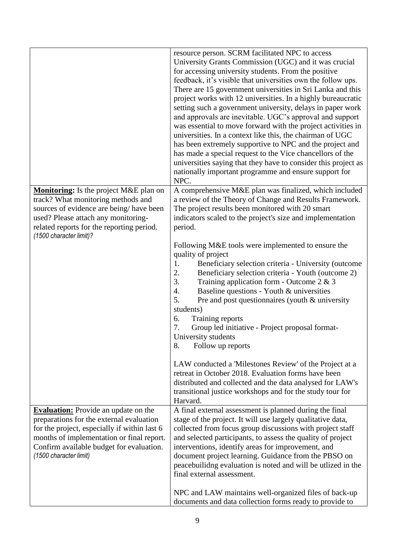|                                                                                                                                                                                                                                                            | resource person. SCRM facilitated NPC to access<br>University Grants Commission (UGC) and it was crucial<br>for accessing university students. From the positive<br>feedback, it's visible that universities own the follow ups.<br>There are 15 government universities in Sri Lanka and this<br>project works with 12 universities. In a highly bureaucratic<br>setting such a government university, delays in paper work<br>and approvals are inevitable. UGC's approval and support<br>was essential to move forward with the project activities in<br>universities. In a context like this, the chairman of UGC<br>has been extremely supportive to NPC and the project and<br>has made a special request to the Vice chancellors of the<br>universities saying that they have to consider this project as<br>nationally important programme and ensure support for<br>NPC. |
|------------------------------------------------------------------------------------------------------------------------------------------------------------------------------------------------------------------------------------------------------------|-----------------------------------------------------------------------------------------------------------------------------------------------------------------------------------------------------------------------------------------------------------------------------------------------------------------------------------------------------------------------------------------------------------------------------------------------------------------------------------------------------------------------------------------------------------------------------------------------------------------------------------------------------------------------------------------------------------------------------------------------------------------------------------------------------------------------------------------------------------------------------------|
| Monitoring: Is the project M&E plan on<br>track? What monitoring methods and<br>sources of evidence are being/have been<br>used? Please attach any monitoring-<br>related reports for the reporting period.<br>(1500 character limit)?                     | A comprehensive M&E plan was finalized, which included<br>a review of the Theory of Change and Results Framework.<br>The project results been monitored with 20 smart<br>indicators scaled to the project's size and implementation<br>period.                                                                                                                                                                                                                                                                                                                                                                                                                                                                                                                                                                                                                                    |
|                                                                                                                                                                                                                                                            | Following M&E tools were implemented to ensure the<br>quality of project<br>Beneficiary selection criteria - University (outcome<br>1.<br>2.<br>Beneficiary selection criteria - Youth (outcome 2)<br>3.<br>Training application form - Outcome $2 \& 3$<br>Baseline questions - Youth & universities<br>4.<br>Pre and post questionnaires (youth & university<br>5.<br>students)<br>6.<br>Training reports<br>7.<br>Group led initiative - Project proposal format-<br>University students<br>8.<br>Follow up reports                                                                                                                                                                                                                                                                                                                                                            |
|                                                                                                                                                                                                                                                            | LAW conducted a 'Milestones Review' of the Project at a<br>retreat in October 2018. Evaluation forms have been<br>distributed and collected and the data analysed for LAW's<br>transitional justice workshops and for the study tour for<br>Harvard.                                                                                                                                                                                                                                                                                                                                                                                                                                                                                                                                                                                                                              |
| <b>Evaluation:</b> Provide an update on the<br>preparations for the external evaluation<br>for the project, especially if within last 6<br>months of implementation or final report.<br>Confirm available budget for evaluation.<br>(1500 character limit) | A final external assessment is planned during the final<br>stage of the project. It will use largely qualitative data,<br>collected from focus group discussions with project staff<br>and selected participants, to assess the quality of project<br>interventions, identify areas for improvement, and<br>document project learning. Guidance from the PBSO on<br>peacebuilidng evaluation is noted and will be utlized in the<br>final external assessment.                                                                                                                                                                                                                                                                                                                                                                                                                    |
|                                                                                                                                                                                                                                                            | NPC and LAW maintains well-organized files of back-up<br>documents and data collection forms ready to provide to                                                                                                                                                                                                                                                                                                                                                                                                                                                                                                                                                                                                                                                                                                                                                                  |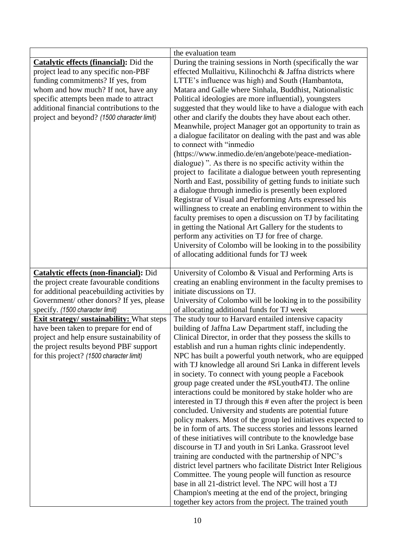|                                                                                                                                                                                                                                                                                                        | the evaluation team                                                                                                                                                                                                                                                                                                                                                                                                                                                                                                                                                                                                                                                                                                                                                                                                                                                                                                                                                                                                                                                                                                                                                                                                                                                                                                   |
|--------------------------------------------------------------------------------------------------------------------------------------------------------------------------------------------------------------------------------------------------------------------------------------------------------|-----------------------------------------------------------------------------------------------------------------------------------------------------------------------------------------------------------------------------------------------------------------------------------------------------------------------------------------------------------------------------------------------------------------------------------------------------------------------------------------------------------------------------------------------------------------------------------------------------------------------------------------------------------------------------------------------------------------------------------------------------------------------------------------------------------------------------------------------------------------------------------------------------------------------------------------------------------------------------------------------------------------------------------------------------------------------------------------------------------------------------------------------------------------------------------------------------------------------------------------------------------------------------------------------------------------------|
| <b>Catalytic effects (financial):</b> Did the<br>project lead to any specific non-PBF<br>funding commitments? If yes, from<br>whom and how much? If not, have any<br>specific attempts been made to attract<br>additional financial contributions to the<br>project and beyond? (1500 character limit) | During the training sessions in North (specifically the war<br>effected Mullaitivu, Kilinochchi & Jaffna districts where<br>LTTE's influence was high) and South (Hambantota,<br>Matara and Galle where Sinhala, Buddhist, Nationalistic<br>Political ideologies are more influential), youngsters<br>suggested that they would like to have a dialogue with each<br>other and clarify the doubts they have about each other.<br>Meanwhile, project Manager got an opportunity to train as<br>a dialogue facilitator on dealing with the past and was able<br>to connect with "inmedio<br>(https://www.inmedio.de/en/angebote/peace-mediation-<br>dialogue)". As there is no specific activity within the<br>project to facilitate a dialogue between youth representing<br>North and East, possibility of getting funds to initiate such<br>a dialogue through inmedio is presently been explored<br>Registrar of Visual and Performing Arts expressed his<br>willingness to create an enabling environment to within the<br>faculty premises to open a discussion on TJ by facilitating<br>in getting the National Art Gallery for the students to<br>perform any activities on TJ for free of charge.<br>University of Colombo will be looking in to the possibility<br>of allocating additional funds for TJ week |
| <b>Catalytic effects (non-financial):</b> Did<br>the project create favourable conditions<br>for additional peacebuilding activities by<br>Government/ other donors? If yes, please<br>specify. (1500 character limit)                                                                                 | University of Colombo & Visual and Performing Arts is<br>creating an enabling environment in the faculty premises to<br>initiate discussions on TJ.<br>University of Colombo will be looking in to the possibility<br>of allocating additional funds for TJ week                                                                                                                                                                                                                                                                                                                                                                                                                                                                                                                                                                                                                                                                                                                                                                                                                                                                                                                                                                                                                                                      |
| <b>Exit strategy/ sustainability:</b> What steps<br>have been taken to prepare for end of<br>project and help ensure sustainability of<br>the project results beyond PBF support<br>for this project? (1500 character limit)                                                                           | The study tour to Harvard entailed intensive capacity<br>building of Jaffna Law Department staff, including the<br>Clinical Director, in order that they possess the skills to<br>establish and run a human rights clinic independently.<br>NPC has built a powerful youth network, who are equipped<br>with TJ knowledge all around Sri Lanka in different levels<br>in society. To connect with young people a Facebook<br>group page created under the #SLyouth4TJ. The online<br>interactions could be monitored by stake holder who are<br>interested in TJ through this # even after the project is been<br>concluded. University and students are potential future<br>policy makers. Most of the group led initiatives expected to<br>be in form of arts. The success stories and lessons learned<br>of these initiatives will contribute to the knowledge base<br>discourse in TJ and youth in Sri Lanka. Grassroot level<br>training are conducted with the partnership of NPC's<br>district level partners who facilitate District Inter Religious<br>Committee. The young people will function as resource<br>base in all 21-district level. The NPC will host a TJ<br>Champion's meeting at the end of the project, bringing<br>together key actors from the project. The trained youth                   |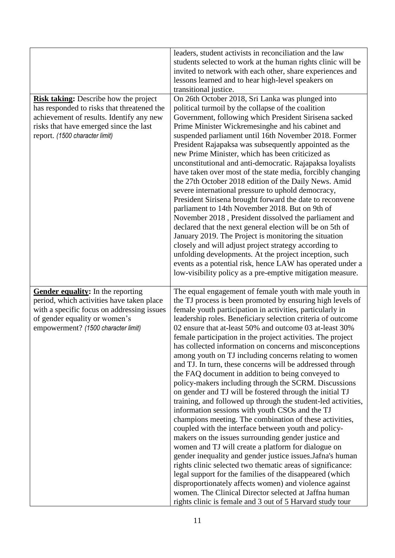|                                                                                                                                                                                                                    | leaders, student activists in reconciliation and the law<br>students selected to work at the human rights clinic will be<br>invited to network with each other, share experiences and<br>lessons learned and to hear high-level speakers on<br>transitional justice.                                                                                                                                                                                                                                                                                                                                                                                                                                                                                                                                                                                                                                                                                                                                                                                                                                                                                                                                                                                                                                                                                                                                                                                                  |
|--------------------------------------------------------------------------------------------------------------------------------------------------------------------------------------------------------------------|-----------------------------------------------------------------------------------------------------------------------------------------------------------------------------------------------------------------------------------------------------------------------------------------------------------------------------------------------------------------------------------------------------------------------------------------------------------------------------------------------------------------------------------------------------------------------------------------------------------------------------------------------------------------------------------------------------------------------------------------------------------------------------------------------------------------------------------------------------------------------------------------------------------------------------------------------------------------------------------------------------------------------------------------------------------------------------------------------------------------------------------------------------------------------------------------------------------------------------------------------------------------------------------------------------------------------------------------------------------------------------------------------------------------------------------------------------------------------|
| <b>Risk taking:</b> Describe how the project<br>has responded to risks that threatened the<br>achievement of results. Identify any new<br>risks that have emerged since the last<br>report. (1500 character limit) | On 26th October 2018, Sri Lanka was plunged into<br>political turmoil by the collapse of the coalition<br>Government, following which President Sirisena sacked<br>Prime Minister Wickremesinghe and his cabinet and<br>suspended parliament until 16th November 2018. Former<br>President Rajapaksa was subsequently appointed as the<br>new Prime Minister, which has been criticized as<br>unconstitutional and anti-democratic. Rajapaksa loyalists<br>have taken over most of the state media, forcibly changing<br>the 27th October 2018 edition of the Daily News. Amid<br>severe international pressure to uphold democracy,<br>President Sirisena brought forward the date to reconvene<br>parliament to 14th November 2018. But on 9th of<br>November 2018, President dissolved the parliament and<br>declared that the next general election will be on 5th of<br>January 2019. The Project is monitoring the situation<br>closely and will adjust project strategy according to<br>unfolding developments. At the project inception, such<br>events as a potential risk, hence LAW has operated under a<br>low-visibility policy as a pre-emptive mitigation measure.                                                                                                                                                                                                                                                                                     |
| <b>Gender equality:</b> In the reporting<br>period, which activities have taken place<br>with a specific focus on addressing issues<br>of gender equality or women's<br>empowerment? (1500 character limit)        | The equal engagement of female youth with male youth in<br>the TJ process is been promoted by ensuring high levels of<br>female youth participation in activities, particularly in<br>leadership roles. Beneficiary selection criteria of outcome<br>02 ensure that at-least 50% and outcome 03 at-least 30%<br>female participation in the project activities. The project<br>has collected information on concerns and misconceptions<br>among youth on TJ including concerns relating to women<br>and TJ. In turn, these concerns will be addressed through<br>the FAQ document in addition to being conveyed to<br>policy-makers including through the SCRM. Discussions<br>on gender and TJ will be fostered through the initial TJ<br>training, and followed up through the student-led activities,<br>information sessions with youth CSOs and the TJ<br>champions meeting. The combination of these activities,<br>coupled with the interface between youth and policy-<br>makers on the issues surrounding gender justice and<br>women and TJ will create a platform for dialogue on<br>gender inequality and gender justice issues. Jafna's human<br>rights clinic selected two thematic areas of significance:<br>legal support for the families of the disappeared (which<br>disproportionately affects women) and violence against<br>women. The Clinical Director selected at Jaffna human<br>rights clinic is female and 3 out of 5 Harvard study tour |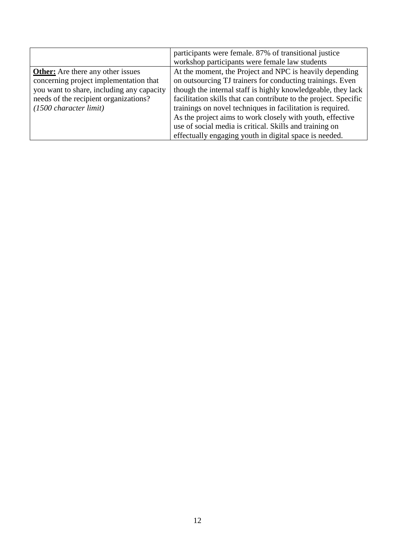|                                           | participants were female. 87% of transitional justice            |
|-------------------------------------------|------------------------------------------------------------------|
|                                           | workshop participants were female law students                   |
| <b>Other:</b> Are there any other issues  | At the moment, the Project and NPC is heavily depending          |
| concerning project implementation that    | on outsourcing TJ trainers for conducting trainings. Even        |
| you want to share, including any capacity | though the internal staff is highly knowledgeable, they lack     |
| needs of the recipient organizations?     | facilitation skills that can contribute to the project. Specific |
| $(1500 \text{ character limit})$          | trainings on novel techniques in facilitation is required.       |
|                                           | As the project aims to work closely with youth, effective        |
|                                           | use of social media is critical. Skills and training on          |
|                                           | effectually engaging youth in digital space is needed.           |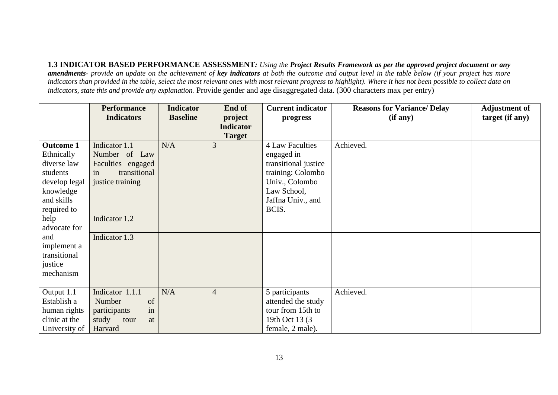**1.3 INDICATOR BASED PERFORMANCE ASSESSMENT***: Using the Project Results Framework as per the approved project document or any amendments- provide an update on the achievement of key indicators at both the outcome and output level in the table below (if your project has more indicators than provided in the table, select the most relevant ones with most relevant progress to highlight). Where it has not been possible to collect data on indicators, state this and provide any explanation.* Provide gender and age disaggregated data. (300 characters max per entry)

|                                                                                                                      | <b>Performance</b><br><b>Indicators</b>                                                       | <b>Indicator</b><br><b>Baseline</b> | End of<br>project                 | <b>Current indicator</b><br>progress                                                                                                             | <b>Reasons for Variance/ Delay</b><br>(if any) | <b>Adjustment of</b><br>target (if any) |
|----------------------------------------------------------------------------------------------------------------------|-----------------------------------------------------------------------------------------------|-------------------------------------|-----------------------------------|--------------------------------------------------------------------------------------------------------------------------------------------------|------------------------------------------------|-----------------------------------------|
|                                                                                                                      |                                                                                               |                                     | <b>Indicator</b><br><b>Target</b> |                                                                                                                                                  |                                                |                                         |
| <b>Outcome 1</b><br>Ethnically<br>diverse law<br>students<br>develop legal<br>knowledge<br>and skills<br>required to | Indicator 1.1<br>Number of Law<br>Faculties engaged<br>transitional<br>in<br>justice training | N/A                                 | 3                                 | <b>4 Law Faculties</b><br>engaged in<br>transitional justice<br>training: Colombo<br>Univ., Colombo<br>Law School,<br>Jaffna Univ., and<br>BCIS. | Achieved.                                      |                                         |
| help<br>advocate for                                                                                                 | Indicator 1.2                                                                                 |                                     |                                   |                                                                                                                                                  |                                                |                                         |
| and<br>implement a<br>transitional<br>justice<br>mechanism                                                           | Indicator 1.3                                                                                 |                                     |                                   |                                                                                                                                                  |                                                |                                         |
| Output 1.1<br>Establish a<br>human rights<br>clinic at the<br>University of                                          | Indicator 1.1.1<br>Number<br>of<br>participants<br>in<br>study<br>tour<br>at<br>Harvard       | N/A                                 | $\overline{4}$                    | 5 participants<br>attended the study<br>tour from 15th to<br>19th Oct 13 (3)<br>female, 2 male).                                                 | Achieved.                                      |                                         |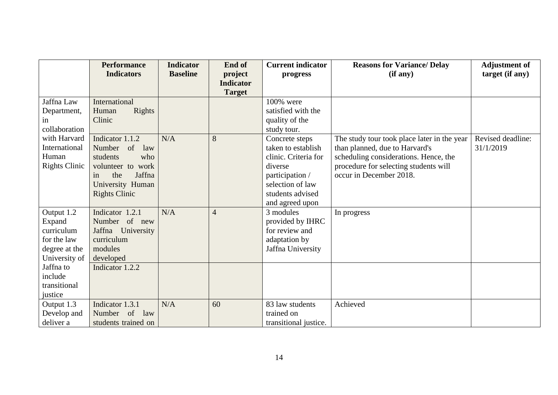|                      | <b>Performance</b>             | <b>Indicator</b> | End of           | <b>Current indicator</b> | <b>Reasons for Variance/ Delay</b>          | <b>Adjustment of</b> |
|----------------------|--------------------------------|------------------|------------------|--------------------------|---------------------------------------------|----------------------|
|                      | <b>Indicators</b>              | <b>Baseline</b>  | project          | progress                 | (if any)                                    | target (if any)      |
|                      |                                |                  | <b>Indicator</b> |                          |                                             |                      |
|                      |                                |                  | <b>Target</b>    |                          |                                             |                      |
| Jaffna Law           | International                  |                  |                  | 100% were                |                                             |                      |
| Department,          | Rights<br>Human                |                  |                  | satisfied with the       |                                             |                      |
| in.                  | Clinic                         |                  |                  | quality of the           |                                             |                      |
| collaboration        |                                |                  |                  | study tour.              |                                             |                      |
| with Harvard         | Indicator 1.1.2                | N/A              | 8                | Concrete steps           | The study tour took place later in the year | Revised deadline:    |
| International        | of<br>Number<br>law            |                  |                  | taken to establish       | than planned, due to Harvard's              | 31/1/2019            |
| Human                | students<br>who                |                  |                  | clinic. Criteria for     | scheduling considerations. Hence, the       |                      |
| <b>Rights Clinic</b> | volunteer to work              |                  |                  | diverse                  | procedure for selecting students will       |                      |
|                      | the<br>Jaffna<br>in            |                  |                  | participation /          | occur in December 2018.                     |                      |
|                      | University Human               |                  |                  | selection of law         |                                             |                      |
|                      | <b>Rights Clinic</b>           |                  |                  | students advised         |                                             |                      |
|                      |                                |                  |                  | and agreed upon          |                                             |                      |
| Output 1.2           | Indicator 1.2.1                | N/A              | $\overline{4}$   | 3 modules                | In progress                                 |                      |
| Expand               | Number of new                  |                  |                  | provided by IHRC         |                                             |                      |
| curriculum           | Jaffna<br>University           |                  |                  | for review and           |                                             |                      |
| for the law          | curriculum                     |                  |                  | adaptation by            |                                             |                      |
| degree at the        | modules                        |                  |                  | Jaffna University        |                                             |                      |
| University of        | developed                      |                  |                  |                          |                                             |                      |
| Jaffna to            | Indicator 1.2.2                |                  |                  |                          |                                             |                      |
| include              |                                |                  |                  |                          |                                             |                      |
| transitional         |                                |                  |                  |                          |                                             |                      |
| justice              |                                |                  |                  |                          |                                             |                      |
| Output 1.3           | Indicator 1.3.1                | N/A              | 60               | 83 law students          | Achieved                                    |                      |
| Develop and          | <sub>of</sub><br>Number<br>law |                  |                  | trained on               |                                             |                      |
| deliver a            | students trained on            |                  |                  | transitional justice.    |                                             |                      |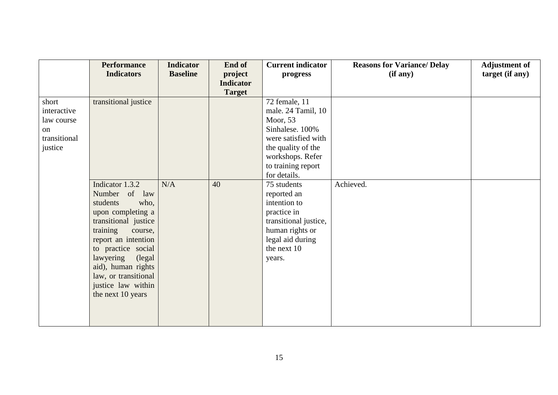|              | <b>Performance</b>   | <b>Indicator</b> | End of           | <b>Current indicator</b> | <b>Reasons for Variance/ Delay</b> | <b>Adjustment of</b> |
|--------------|----------------------|------------------|------------------|--------------------------|------------------------------------|----------------------|
|              | <b>Indicators</b>    | <b>Baseline</b>  | project          | progress                 | (if any)                           | target (if any)      |
|              |                      |                  | <b>Indicator</b> |                          |                                    |                      |
|              |                      |                  | <b>Target</b>    |                          |                                    |                      |
| short        | transitional justice |                  |                  | 72 female, 11            |                                    |                      |
| interactive  |                      |                  |                  | male. 24 Tamil, 10       |                                    |                      |
| law course   |                      |                  |                  | Moor, $53$               |                                    |                      |
| on           |                      |                  |                  | Sinhalese. 100%          |                                    |                      |
| transitional |                      |                  |                  | were satisfied with      |                                    |                      |
| justice      |                      |                  |                  | the quality of the       |                                    |                      |
|              |                      |                  |                  | workshops. Refer         |                                    |                      |
|              |                      |                  |                  | to training report       |                                    |                      |
|              |                      |                  |                  | for details.             |                                    |                      |
|              | Indicator 1.3.2      | N/A              | 40               | 75 students              | Achieved.                          |                      |
|              | Number of<br>law     |                  |                  | reported an              |                                    |                      |
|              | who,<br>students     |                  |                  | intention to             |                                    |                      |
|              | upon completing a    |                  |                  | practice in              |                                    |                      |
|              | transitional justice |                  |                  | transitional justice,    |                                    |                      |
|              | training<br>course,  |                  |                  | human rights or          |                                    |                      |
|              | report an intention  |                  |                  | legal aid during         |                                    |                      |
|              | to practice social   |                  |                  | the next 10              |                                    |                      |
|              | lawyering<br>(legal) |                  |                  | years.                   |                                    |                      |
|              | aid), human rights   |                  |                  |                          |                                    |                      |
|              | law, or transitional |                  |                  |                          |                                    |                      |
|              | justice law within   |                  |                  |                          |                                    |                      |
|              | the next 10 years    |                  |                  |                          |                                    |                      |
|              |                      |                  |                  |                          |                                    |                      |
|              |                      |                  |                  |                          |                                    |                      |
|              |                      |                  |                  |                          |                                    |                      |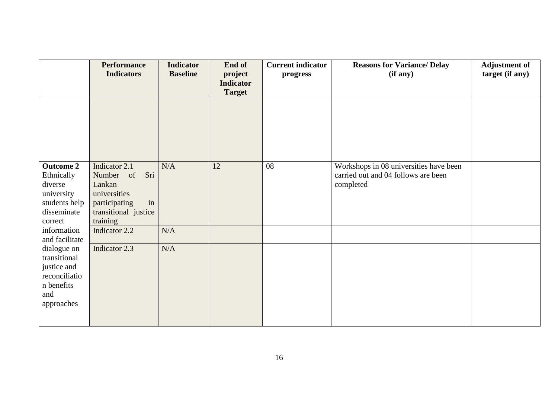|                              | <b>Performance</b><br><b>Indicators</b> | <b>Indicator</b><br><b>Baseline</b> | End of<br>project<br><b>Indicator</b> | <b>Current indicator</b><br>progress | <b>Reasons for Variance/ Delay</b><br>(if any) | <b>Adjustment of</b><br>target (if any) |
|------------------------------|-----------------------------------------|-------------------------------------|---------------------------------------|--------------------------------------|------------------------------------------------|-----------------------------------------|
|                              |                                         |                                     | <b>Target</b>                         |                                      |                                                |                                         |
|                              |                                         |                                     |                                       |                                      |                                                |                                         |
|                              |                                         |                                     |                                       |                                      |                                                |                                         |
|                              |                                         |                                     |                                       |                                      |                                                |                                         |
|                              |                                         |                                     |                                       |                                      |                                                |                                         |
|                              |                                         |                                     |                                       |                                      |                                                |                                         |
| <b>Outcome 2</b>             | Indicator 2.1                           | N/A                                 | 12                                    | 08                                   | Workshops in 08 universities have been         |                                         |
| Ethnically                   | Sri<br>Number of                        |                                     |                                       |                                      | carried out and 04 follows are been            |                                         |
| diverse                      | Lankan                                  |                                     |                                       |                                      | completed                                      |                                         |
| university                   | universities                            |                                     |                                       |                                      |                                                |                                         |
| students help                | in<br>participating                     |                                     |                                       |                                      |                                                |                                         |
| disseminate                  | transitional justice                    |                                     |                                       |                                      |                                                |                                         |
| correct                      | training                                |                                     |                                       |                                      |                                                |                                         |
| information                  | Indicator 2.2                           | N/A                                 |                                       |                                      |                                                |                                         |
| and facilitate               |                                         |                                     |                                       |                                      |                                                |                                         |
| dialogue on                  | Indicator 2.3                           | N/A                                 |                                       |                                      |                                                |                                         |
| transitional                 |                                         |                                     |                                       |                                      |                                                |                                         |
| justice and<br>reconciliatio |                                         |                                     |                                       |                                      |                                                |                                         |
| n benefits                   |                                         |                                     |                                       |                                      |                                                |                                         |
| and                          |                                         |                                     |                                       |                                      |                                                |                                         |
| approaches                   |                                         |                                     |                                       |                                      |                                                |                                         |
|                              |                                         |                                     |                                       |                                      |                                                |                                         |
|                              |                                         |                                     |                                       |                                      |                                                |                                         |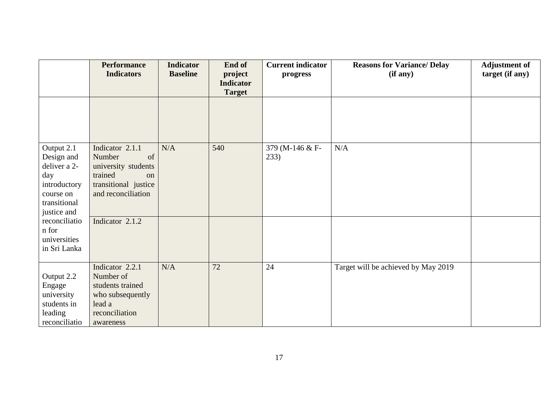|                                                                                                             | <b>Performance</b><br><b>Indicators</b>                                                                               | <b>Indicator</b><br><b>Baseline</b> | End of<br>project<br><b>Indicator</b> | <b>Current indicator</b><br>progress | <b>Reasons for Variance/ Delay</b><br>(if any) | <b>Adjustment of</b><br>target (if any) |
|-------------------------------------------------------------------------------------------------------------|-----------------------------------------------------------------------------------------------------------------------|-------------------------------------|---------------------------------------|--------------------------------------|------------------------------------------------|-----------------------------------------|
|                                                                                                             |                                                                                                                       |                                     | <b>Target</b>                         |                                      |                                                |                                         |
|                                                                                                             |                                                                                                                       |                                     |                                       |                                      |                                                |                                         |
| Output 2.1<br>Design and<br>deliver a 2-<br>day<br>introductory<br>course on<br>transitional<br>justice and | Indicator 2.1.1<br>Number<br>of<br>university students<br>trained<br>on<br>transitional justice<br>and reconciliation | N/A                                 | 540                                   | 379 (M-146 & F-<br>233)              | N/A                                            |                                         |
| reconciliatio<br>n for<br>universities<br>in Sri Lanka                                                      | Indicator 2.1.2                                                                                                       |                                     |                                       |                                      |                                                |                                         |
| Output 2.2<br>Engage<br>university<br>students in<br>leading<br>reconciliatio                               | Indicator 2.2.1<br>Number of<br>students trained<br>who subsequently<br>lead a<br>reconciliation<br>awareness         | N/A                                 | 72                                    | 24                                   | Target will be achieved by May 2019            |                                         |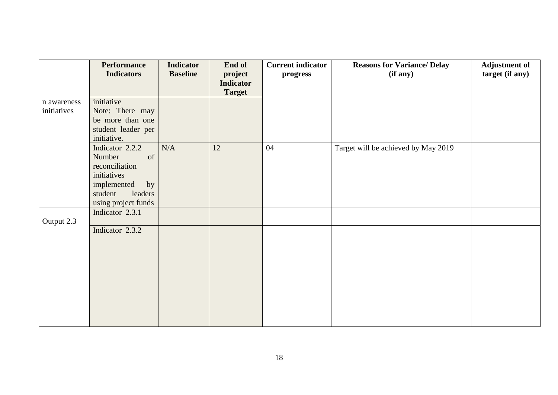|             | <b>Performance</b><br><b>Indicators</b> | <b>Indicator</b><br><b>Baseline</b> | End of                      | <b>Current indicator</b> | <b>Reasons for Variance/ Delay</b>  | <b>Adjustment of</b> |
|-------------|-----------------------------------------|-------------------------------------|-----------------------------|--------------------------|-------------------------------------|----------------------|
|             |                                         |                                     | project<br><b>Indicator</b> | progress                 | (if any)                            | target (if any)      |
|             |                                         |                                     | <b>Target</b>               |                          |                                     |                      |
| n awareness | initiative                              |                                     |                             |                          |                                     |                      |
| initiatives | Note: There may                         |                                     |                             |                          |                                     |                      |
|             | be more than one                        |                                     |                             |                          |                                     |                      |
|             | student leader per                      |                                     |                             |                          |                                     |                      |
|             | initiative.                             |                                     |                             |                          |                                     |                      |
|             | Indicator 2.2.2                         | $\rm N/A$                           | 12                          | 04                       | Target will be achieved by May 2019 |                      |
|             | of<br>Number                            |                                     |                             |                          |                                     |                      |
|             | reconciliation                          |                                     |                             |                          |                                     |                      |
|             | initiatives                             |                                     |                             |                          |                                     |                      |
|             | implemented<br>by                       |                                     |                             |                          |                                     |                      |
|             | student<br>leaders                      |                                     |                             |                          |                                     |                      |
|             | using project funds                     |                                     |                             |                          |                                     |                      |
|             | Indicator 2.3.1                         |                                     |                             |                          |                                     |                      |
| Output 2.3  | Indicator 2.3.2                         |                                     |                             |                          |                                     |                      |
|             |                                         |                                     |                             |                          |                                     |                      |
|             |                                         |                                     |                             |                          |                                     |                      |
|             |                                         |                                     |                             |                          |                                     |                      |
|             |                                         |                                     |                             |                          |                                     |                      |
|             |                                         |                                     |                             |                          |                                     |                      |
|             |                                         |                                     |                             |                          |                                     |                      |
|             |                                         |                                     |                             |                          |                                     |                      |
|             |                                         |                                     |                             |                          |                                     |                      |
|             |                                         |                                     |                             |                          |                                     |                      |
|             |                                         |                                     |                             |                          |                                     |                      |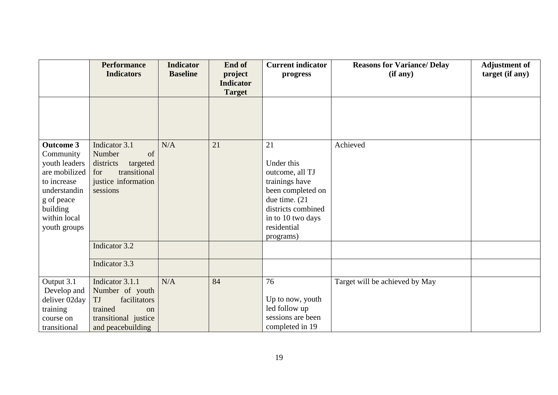|                  | <b>Performance</b>    | <b>Indicator</b> | End of                            | <b>Current indicator</b> | <b>Reasons for Variance/ Delay</b> | <b>Adjustment of</b> |
|------------------|-----------------------|------------------|-----------------------------------|--------------------------|------------------------------------|----------------------|
|                  | <b>Indicators</b>     | <b>Baseline</b>  | project                           | progress                 | (if any)                           | target (if any)      |
|                  |                       |                  | <b>Indicator</b><br><b>Target</b> |                          |                                    |                      |
|                  |                       |                  |                                   |                          |                                    |                      |
|                  |                       |                  |                                   |                          |                                    |                      |
|                  |                       |                  |                                   |                          |                                    |                      |
|                  |                       |                  |                                   |                          |                                    |                      |
| <b>Outcome 3</b> | Indicator 3.1         | N/A              | 21                                | 21                       | Achieved                           |                      |
| Community        | Number<br>of          |                  |                                   |                          |                                    |                      |
| youth leaders    | districts<br>targeted |                  |                                   | Under this               |                                    |                      |
| are mobilized    | transitional<br>for   |                  |                                   | outcome, all TJ          |                                    |                      |
| to increase      | justice information   |                  |                                   | trainings have           |                                    |                      |
| understandin     | sessions              |                  |                                   | been completed on        |                                    |                      |
| g of peace       |                       |                  |                                   | due time. (21            |                                    |                      |
| building         |                       |                  |                                   | districts combined       |                                    |                      |
| within local     |                       |                  |                                   | in to 10 two days        |                                    |                      |
| youth groups     |                       |                  |                                   | residential              |                                    |                      |
|                  | Indicator 3.2         |                  |                                   | programs)                |                                    |                      |
|                  |                       |                  |                                   |                          |                                    |                      |
|                  | Indicator 3.3         |                  |                                   |                          |                                    |                      |
|                  |                       |                  |                                   |                          |                                    |                      |
| Output 3.1       | Indicator 3.1.1       | N/A              | 84                                | 76                       | Target will be achieved by May     |                      |
| Develop and      | Number of youth       |                  |                                   |                          |                                    |                      |
| deliver 02day    | TJ<br>facilitators    |                  |                                   | Up to now, youth         |                                    |                      |
| training         | trained<br>on         |                  |                                   | led follow up            |                                    |                      |
| course on        | transitional justice  |                  |                                   | sessions are been        |                                    |                      |
| transitional     | and peacebuilding     |                  |                                   | completed in 19          |                                    |                      |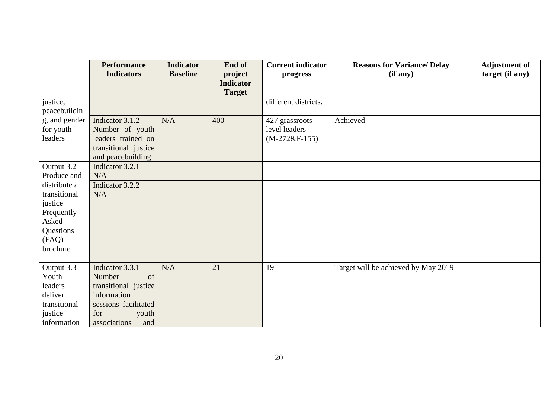|                                                                                                  | <b>Performance</b><br><b>Indicators</b>                                                                                               | <b>Indicator</b><br><b>Baseline</b> | End of<br>project                 | <b>Current indicator</b><br>progress               | <b>Reasons for Variance/ Delay</b><br>(if any) | <b>Adjustment of</b><br>target (if any) |
|--------------------------------------------------------------------------------------------------|---------------------------------------------------------------------------------------------------------------------------------------|-------------------------------------|-----------------------------------|----------------------------------------------------|------------------------------------------------|-----------------------------------------|
|                                                                                                  |                                                                                                                                       |                                     | <b>Indicator</b><br><b>Target</b> |                                                    |                                                |                                         |
| justice,<br>peacebuildin                                                                         |                                                                                                                                       |                                     |                                   | different districts.                               |                                                |                                         |
| g, and gender<br>for youth<br>leaders                                                            | Indicator 3.1.2<br>Number of youth<br>leaders trained on<br>transitional justice<br>and peacebuilding                                 | N/A                                 | 400                               | 427 grassroots<br>level leaders<br>$(M-272&F-155)$ | Achieved                                       |                                         |
| Output 3.2<br>Produce and                                                                        | Indicator 3.2.1<br>N/A                                                                                                                |                                     |                                   |                                                    |                                                |                                         |
| distribute a<br>transitional<br>justice<br>Frequently<br>Asked<br>Questions<br>(FAQ)<br>brochure | Indicator 3.2.2<br>N/A                                                                                                                |                                     |                                   |                                                    |                                                |                                         |
| Output 3.3<br>Youth<br>leaders<br>deliver<br>transitional<br>justice<br>information              | Indicator 3.3.1<br>Number<br>of<br>transitional justice<br>information<br>sessions facilitated<br>for<br>youth<br>associations<br>and | N/A                                 | 21                                | 19                                                 | Target will be achieved by May 2019            |                                         |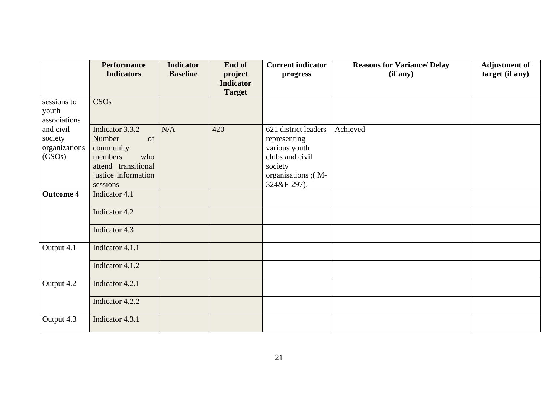|                  | <b>Performance</b>  | <b>Indicator</b> | End of           | <b>Current indicator</b> | <b>Reasons for Variance/ Delay</b> | <b>Adjustment of</b> |
|------------------|---------------------|------------------|------------------|--------------------------|------------------------------------|----------------------|
|                  | <b>Indicators</b>   | <b>Baseline</b>  | project          | progress                 | (if any)                           | target (if any)      |
|                  |                     |                  | <b>Indicator</b> |                          |                                    |                      |
|                  |                     |                  | <b>Target</b>    |                          |                                    |                      |
| sessions to      | <b>CSOs</b>         |                  |                  |                          |                                    |                      |
| youth            |                     |                  |                  |                          |                                    |                      |
| associations     |                     |                  |                  |                          |                                    |                      |
| and civil        | Indicator 3.3.2     | N/A              | 420              | 621 district leaders     | Achieved                           |                      |
| society          | of<br>Number        |                  |                  | representing             |                                    |                      |
| organizations    | community           |                  |                  | various youth            |                                    |                      |
| (CSOs)           | members<br>who      |                  |                  | clubs and civil          |                                    |                      |
|                  | attend transitional |                  |                  | society                  |                                    |                      |
|                  | justice information |                  |                  | organisations ;(M-       |                                    |                      |
|                  | sessions            |                  |                  | 324&F-297).              |                                    |                      |
| <b>Outcome 4</b> | Indicator 4.1       |                  |                  |                          |                                    |                      |
|                  | Indicator 4.2       |                  |                  |                          |                                    |                      |
|                  |                     |                  |                  |                          |                                    |                      |
|                  | Indicator 4.3       |                  |                  |                          |                                    |                      |
|                  |                     |                  |                  |                          |                                    |                      |
| Output 4.1       | Indicator 4.1.1     |                  |                  |                          |                                    |                      |
|                  | Indicator 4.1.2     |                  |                  |                          |                                    |                      |
|                  |                     |                  |                  |                          |                                    |                      |
| Output 4.2       | Indicator 4.2.1     |                  |                  |                          |                                    |                      |
|                  | Indicator 4.2.2     |                  |                  |                          |                                    |                      |
|                  |                     |                  |                  |                          |                                    |                      |
| Output 4.3       | Indicator 4.3.1     |                  |                  |                          |                                    |                      |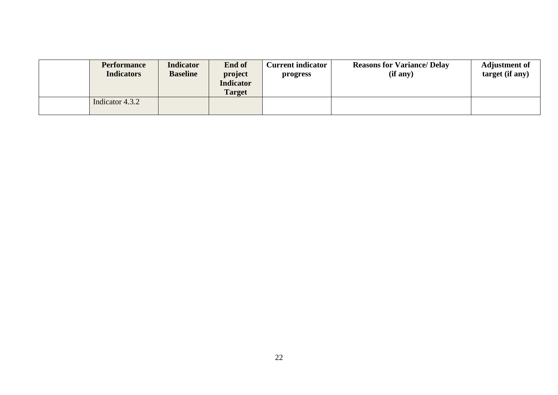| <b>Performance</b><br><b>Indicators</b> | <b>Indicator</b><br><b>Baseline</b> | <b>End of</b><br>project<br><b>Indicator</b><br>Target | <b>Current indicator</b><br>progress | <b>Reasons for Variance/ Delay</b><br>(if any) | <b>Adjustment of</b><br>target (if any) |
|-----------------------------------------|-------------------------------------|--------------------------------------------------------|--------------------------------------|------------------------------------------------|-----------------------------------------|
| Indicator 4.3.2                         |                                     |                                                        |                                      |                                                |                                         |